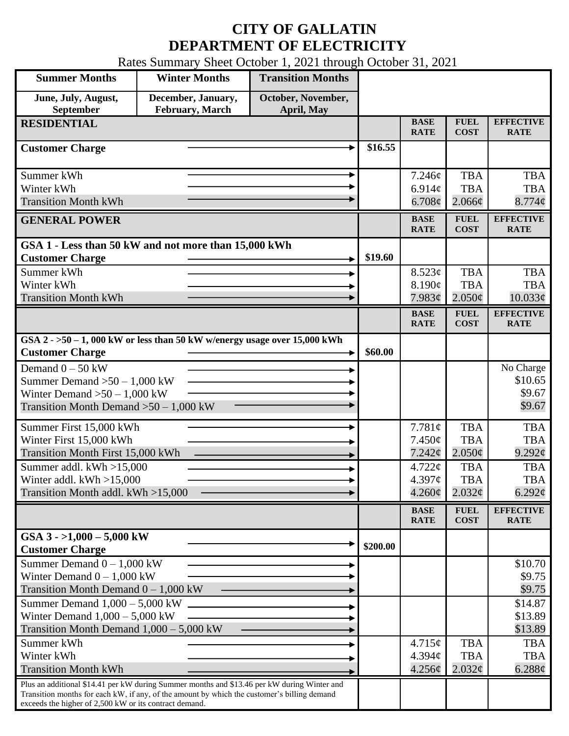## **CITY OF GALLATIN DEPARTMENT OF ELECTRICITY**

Rates Summary Sheet October 1, 2021 through October 31, 2021

| <b>Summer Months</b>                                                                                                                                  | <b>Winter Months</b>                  | <b>Transition Months</b>         |          |                            |                               |                                 |
|-------------------------------------------------------------------------------------------------------------------------------------------------------|---------------------------------------|----------------------------------|----------|----------------------------|-------------------------------|---------------------------------|
| June, July, August,<br>September                                                                                                                      | December, January,<br>February, March | October, November,<br>April, May |          |                            |                               |                                 |
| <b>RESIDENTIAL</b>                                                                                                                                    |                                       |                                  |          | <b>BASE</b><br><b>RATE</b> | <b>FUEL</b><br><b>COST</b>    | <b>EFFECTIVE</b><br><b>RATE</b> |
| <b>Customer Charge</b>                                                                                                                                |                                       |                                  | \$16.55  |                            |                               |                                 |
| Summer kWh                                                                                                                                            |                                       |                                  |          | 7.246¢                     | <b>TBA</b>                    | <b>TBA</b>                      |
| Winter kWh                                                                                                                                            |                                       |                                  |          | 6.914 $\phi$               | <b>TBA</b>                    | <b>TBA</b>                      |
| <b>Transition Month kWh</b>                                                                                                                           |                                       |                                  |          | $6.708\phi$                | $2.066\phi$                   | 8.774¢                          |
| <b>GENERAL POWER</b>                                                                                                                                  |                                       |                                  |          | <b>BASE</b><br><b>RATE</b> | <b>FUEL</b><br><b>COST</b>    | <b>EFFECTIVE</b><br><b>RATE</b> |
| GSA 1 - Less than 50 kW and not more than 15,000 kWh                                                                                                  |                                       |                                  |          |                            |                               |                                 |
| <b>Customer Charge</b>                                                                                                                                |                                       |                                  | \$19.60  |                            |                               |                                 |
| Summer kWh                                                                                                                                            |                                       |                                  |          | 8.523¢                     | <b>TBA</b>                    | <b>TBA</b>                      |
| Winter kWh<br><b>Transition Month kWh</b>                                                                                                             |                                       |                                  |          | 8.190¢<br>7.983¢           | <b>TBA</b><br>$2.050\text{c}$ | <b>TBA</b><br>$10.033\phi$      |
|                                                                                                                                                       |                                       |                                  |          | <b>BASE</b>                | <b>FUEL</b>                   | <b>EFFECTIVE</b>                |
|                                                                                                                                                       |                                       |                                  |          | <b>RATE</b>                | <b>COST</b>                   | <b>RATE</b>                     |
| GSA $2 - 50 - 1$ , 000 kW or less than 50 kW w/energy usage over 15,000 kWh<br><b>Customer Charge</b>                                                 |                                       |                                  | \$60.00  |                            |                               |                                 |
| Demand $0 - 50$ kW                                                                                                                                    |                                       |                                  |          |                            |                               | No Charge                       |
| Summer Demand $>50 - 1,000$ kW                                                                                                                        |                                       |                                  |          |                            |                               | \$10.65                         |
| Winter Demand $>50 - 1,000$ kW                                                                                                                        |                                       |                                  |          |                            |                               | \$9.67                          |
| Transition Month Demand $>50-1,000$ kW                                                                                                                |                                       |                                  |          |                            |                               | \$9.67                          |
| Summer First 15,000 kWh                                                                                                                               |                                       |                                  |          | 7.781¢                     | <b>TBA</b>                    | <b>TBA</b>                      |
| Winter First 15,000 kWh                                                                                                                               |                                       |                                  |          | $7.450\phi$                | <b>TBA</b>                    | <b>TBA</b>                      |
| Transition Month First 15,000 kWh                                                                                                                     |                                       |                                  |          | 7.242¢                     | $2.050\text{¢}$               | 9.292¢                          |
| Summer addl. $kWh > 15,000$                                                                                                                           |                                       |                                  |          | 4.722¢                     | <b>TBA</b>                    | <b>TBA</b>                      |
| Winter addl. $kWh > 15,000$<br>Transition Month addl. kWh >15,000                                                                                     |                                       |                                  |          | 4.397c<br>$4.260\text{¢}$  | <b>TBA</b>                    | <b>TBA</b>                      |
|                                                                                                                                                       |                                       |                                  |          |                            | $2.032\epsilon$               | 6.292 $\phi$                    |
|                                                                                                                                                       |                                       |                                  |          | <b>BASE</b><br><b>RATE</b> | <b>FUEL</b><br><b>COST</b>    | <b>EFFECTIVE</b><br><b>RATE</b> |
| GSA $3 - 1,000 - 5,000$ kW<br><b>Customer Charge</b>                                                                                                  |                                       |                                  | \$200.00 |                            |                               |                                 |
| Summer Demand $0 - 1,000$ kW                                                                                                                          |                                       |                                  |          |                            |                               | \$10.70                         |
| Winter Demand $0 - 1,000$ kW                                                                                                                          |                                       |                                  |          |                            |                               | \$9.75                          |
| Transition Month Demand $0 - 1,000$ kW                                                                                                                |                                       |                                  |          |                            |                               | \$9.75                          |
| Summer Demand $1,000 - 5,000$ kW                                                                                                                      |                                       |                                  |          |                            |                               | \$14.87                         |
| Winter Demand $1,000 - 5,000$ kW<br>Transition Month Demand $1,000 - 5,000$ kW                                                                        |                                       |                                  |          |                            |                               | \$13.89<br>\$13.89              |
| Summer kWh                                                                                                                                            |                                       |                                  |          | 4.715¢                     | <b>TBA</b>                    | <b>TBA</b>                      |
| Winter kWh                                                                                                                                            |                                       |                                  |          | 4.394c                     | <b>TBA</b>                    | <b>TBA</b>                      |
| <b>Transition Month kWh</b>                                                                                                                           |                                       |                                  |          | 4.256¢                     | 2.032¢                        | 6.288¢                          |
| Plus an additional \$14.41 per kW during Summer months and \$13.46 per kW during Winter and                                                           |                                       |                                  |          |                            |                               |                                 |
| Transition months for each kW, if any, of the amount by which the customer's billing demand<br>exceeds the higher of 2,500 kW or its contract demand. |                                       |                                  |          |                            |                               |                                 |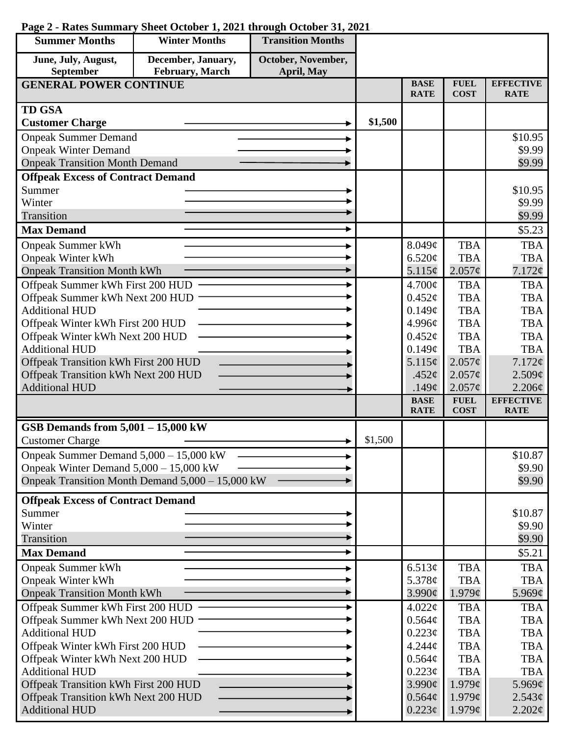| <b>Summer Months</b>                                                        | <b>Winter Months</b>                             | <b>Transition Months</b> |         |                  |                          |                          |
|-----------------------------------------------------------------------------|--------------------------------------------------|--------------------------|---------|------------------|--------------------------|--------------------------|
| June, July, August,                                                         | December, January,                               | October, November,       |         |                  |                          |                          |
| September<br>February, March<br>April, May<br><b>GENERAL POWER CONTINUE</b> |                                                  |                          |         | <b>BASE</b>      | <b>FUEL</b>              | <b>EFFECTIVE</b>         |
|                                                                             |                                                  |                          |         | <b>RATE</b>      | <b>COST</b>              | <b>RATE</b>              |
| <b>TD GSA</b>                                                               |                                                  |                          |         |                  |                          |                          |
| <b>Customer Charge</b>                                                      |                                                  |                          | \$1,500 |                  |                          |                          |
| <b>Onpeak Summer Demand</b>                                                 |                                                  |                          |         |                  |                          | \$10.95                  |
| <b>Onpeak Winter Demand</b>                                                 |                                                  |                          |         |                  |                          | \$9.99                   |
| <b>Onpeak Transition Month Demand</b>                                       |                                                  |                          |         |                  |                          | \$9.99                   |
| <b>Offpeak Excess of Contract Demand</b>                                    |                                                  |                          |         |                  |                          |                          |
| Summer                                                                      |                                                  |                          |         |                  |                          | \$10.95                  |
| Winter                                                                      |                                                  |                          |         |                  |                          | \$9.99                   |
| Transition                                                                  |                                                  |                          |         |                  |                          | \$9.99                   |
| <b>Max Demand</b>                                                           |                                                  |                          |         |                  |                          | \$5.23                   |
| <b>Onpeak Summer kWh</b>                                                    |                                                  |                          |         | 8.049¢           | <b>TBA</b>               | <b>TBA</b>               |
| <b>Onpeak Winter kWh</b>                                                    |                                                  |                          |         | 6.520¢           | <b>TBA</b>               | <b>TBA</b>               |
| <b>Onpeak Transition Month kWh</b>                                          |                                                  |                          |         | 5.115¢           | $2.057\phi$              | 7.172¢                   |
| Offpeak Summer kWh First 200 HUD                                            |                                                  |                          |         | $4.700\text{¢}$  | <b>TBA</b>               | <b>TBA</b>               |
| Offpeak Summer kWh Next 200 HUD                                             |                                                  |                          |         | $0.452\varphi$   | <b>TBA</b>               | <b>TBA</b>               |
| <b>Additional HUD</b>                                                       |                                                  |                          |         | 0.149¢           | <b>TBA</b>               | <b>TBA</b>               |
| Offpeak Winter kWh First 200 HUD                                            |                                                  |                          |         | 4.996¢           | <b>TBA</b>               | <b>TBA</b>               |
| Offpeak Winter kWh Next 200 HUD<br><b>Additional HUD</b>                    |                                                  |                          |         | 0.452¢           | <b>TBA</b>               | <b>TBA</b>               |
|                                                                             |                                                  |                          |         | 0.149¢<br>5.115¢ | <b>TBA</b><br>2.057¢     | <b>TBA</b><br>7.172¢     |
| Offpeak Transition kWh First 200 HUD                                        |                                                  |                          |         | .452 $\phi$      | 2.057¢                   | 2.509¢                   |
| Offpeak Transition kWh Next 200 HUD<br><b>Additional HUD</b>                |                                                  |                          |         | .149 $\phi$      | $2.057\phi$              | 2.206¢                   |
|                                                                             |                                                  |                          |         | <b>BASE</b>      | <b>FUEL</b>              | <b>EFFECTIVE</b>         |
|                                                                             |                                                  |                          |         | <b>RATE</b>      | <b>COST</b>              | <b>RATE</b>              |
| GSB Demands from $5,001 - 15,000$ kW                                        |                                                  |                          |         |                  |                          |                          |
| <b>Customer Charge</b>                                                      |                                                  |                          | \$1,500 |                  |                          |                          |
| Onpeak Summer Demand 5,000 - 15,000 kW                                      |                                                  |                          |         |                  |                          | \$10.87                  |
| Onpeak Winter Demand $5,000 - 15,000$ kW                                    |                                                  |                          |         |                  |                          | \$9.90                   |
|                                                                             | Onpeak Transition Month Demand 5,000 - 15,000 kW |                          |         |                  |                          | \$9.90                   |
| <b>Offpeak Excess of Contract Demand</b>                                    |                                                  |                          |         |                  |                          |                          |
| Summer                                                                      |                                                  |                          |         |                  |                          | \$10.87                  |
| Winter                                                                      |                                                  |                          |         |                  |                          | \$9.90                   |
| Transition                                                                  |                                                  |                          |         |                  |                          | \$9.90                   |
| <b>Max Demand</b>                                                           |                                                  |                          |         |                  |                          | \$5.21                   |
| <b>Onpeak Summer kWh</b>                                                    |                                                  |                          |         | 6.513¢           | <b>TBA</b>               | <b>TBA</b>               |
| <b>Onpeak Winter kWh</b>                                                    |                                                  |                          |         | 5.378¢           | <b>TBA</b>               | <b>TBA</b>               |
| <b>Onpeak Transition Month kWh</b>                                          |                                                  |                          |         | $3.990\phi$      | 1.979¢                   | 5.969¢                   |
| Offpeak Summer kWh First 200 HUD                                            |                                                  |                          |         | 4.022¢           | <b>TBA</b>               | <b>TBA</b>               |
| Offpeak Summer kWh Next 200 HUD                                             |                                                  |                          |         | 0.564¢           | <b>TBA</b>               | <b>TBA</b>               |
| <b>Additional HUD</b>                                                       |                                                  |                          |         | 0.223¢           | <b>TBA</b>               | <b>TBA</b>               |
| Offpeak Winter kWh First 200 HUD<br>Offpeak Winter kWh Next 200 HUD         |                                                  |                          |         | 4.244¢           | <b>TBA</b><br><b>TBA</b> | <b>TBA</b><br><b>TBA</b> |
| <b>Additional HUD</b>                                                       |                                                  |                          |         | 0.564¢<br>0.223¢ | <b>TBA</b>               | <b>TBA</b>               |
| Offpeak Transition kWh First 200 HUD                                        |                                                  |                          |         | 3.990¢           | 1.979¢                   | 5.969 $\phi$             |
| Offpeak Transition kWh Next 200 HUD                                         |                                                  |                          |         | 0.564¢           | 1.979¢                   | 2.543¢                   |
| <b>Additional HUD</b>                                                       |                                                  |                          |         | $0.223\phi$      | 1.979¢                   | $2.202\ell$              |
|                                                                             |                                                  |                          |         |                  |                          |                          |

## **Page 2 - Rates Summary Sheet October 1, 2021 through October 31, 2021**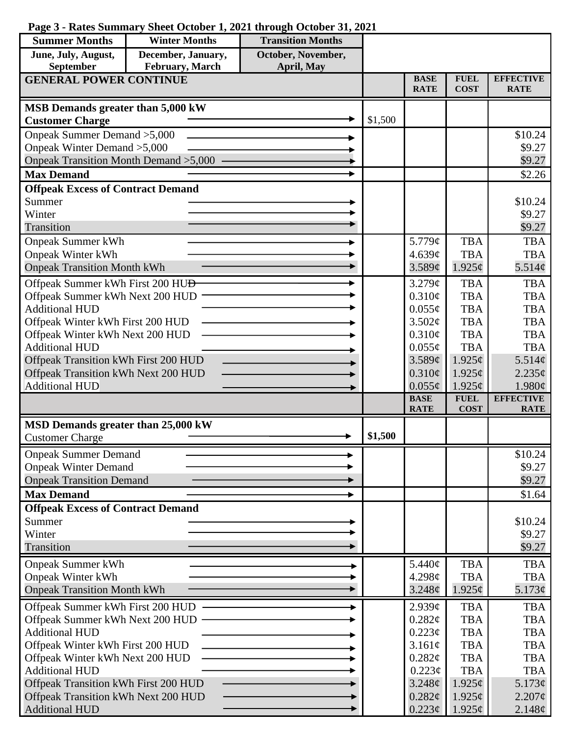| Page 3 - Rates Summary Sheet October 1, 2021 through October 31, 2021 |  |  |  |
|-----------------------------------------------------------------------|--|--|--|
|-----------------------------------------------------------------------|--|--|--|

| <b>Summer Months</b>                                                | <b>Winter Months</b> | <b>Transition Months</b> |         |                            |                            |                                 |
|---------------------------------------------------------------------|----------------------|--------------------------|---------|----------------------------|----------------------------|---------------------------------|
| June, July, August,                                                 | December, January,   | October, November,       |         |                            |                            |                                 |
| September                                                           | February, March      | April, May               |         |                            |                            |                                 |
| <b>GENERAL POWER CONTINUE</b>                                       |                      |                          |         | <b>BASE</b><br><b>RATE</b> | <b>FUEL</b><br><b>COST</b> | <b>EFFECTIVE</b><br><b>RATE</b> |
| MSB Demands greater than 5,000 kW                                   |                      |                          |         |                            |                            |                                 |
| <b>Customer Charge</b>                                              |                      |                          | \$1,500 |                            |                            |                                 |
| Onpeak Summer Demand > 5,000                                        |                      |                          |         |                            |                            | \$10.24                         |
| Onpeak Winter Demand > 5,000                                        |                      |                          |         |                            |                            | \$9.27                          |
| Onpeak Transition Month Demand > 5,000                              |                      |                          |         |                            |                            | \$9.27                          |
| <b>Max Demand</b>                                                   |                      |                          |         |                            |                            | \$2.26                          |
| <b>Offpeak Excess of Contract Demand</b>                            |                      |                          |         |                            |                            |                                 |
| Summer                                                              |                      |                          |         |                            |                            | \$10.24                         |
| Winter                                                              |                      |                          |         |                            |                            | \$9.27                          |
| Transition                                                          |                      |                          |         |                            |                            | \$9.27                          |
| <b>Onpeak Summer kWh</b>                                            |                      |                          |         | 5.779¢                     | <b>TBA</b>                 | <b>TBA</b>                      |
| <b>Onpeak Winter kWh</b>                                            |                      |                          |         | 4.639c                     | <b>TBA</b>                 | <b>TBA</b>                      |
| <b>Onpeak Transition Month kWh</b>                                  |                      |                          |         | 3.589¢                     | $1.925\phi$                | 5.514¢                          |
| Offpeak Summer kWh First 200 HU <del>D</del>                        |                      |                          |         | 3.279¢                     | <b>TBA</b>                 | <b>TBA</b>                      |
| Offpeak Summer kWh Next 200 HUD                                     |                      |                          |         | 0.310¢                     | <b>TBA</b>                 | <b>TBA</b>                      |
| <b>Additional HUD</b>                                               |                      |                          |         | $0.055\phi$                | <b>TBA</b>                 | <b>TBA</b>                      |
| Offpeak Winter kWh First 200 HUD<br>Offpeak Winter kWh Next 200 HUD |                      |                          |         | 3.502¢<br>0.310¢           | <b>TBA</b><br><b>TBA</b>   | <b>TBA</b><br><b>TBA</b>        |
| <b>Additional HUD</b>                                               |                      |                          |         | $0.055\phi$                | <b>TBA</b>                 | <b>TBA</b>                      |
| Offpeak Transition kWh First 200 HUD                                |                      |                          |         | 3.589¢                     | $1.925\ell$                | 5.514¢                          |
| Offpeak Transition kWh Next 200 HUD                                 |                      |                          |         | $0.310\phi$                | $1.925\phi$                | 2.235¢                          |
| <b>Additional HUD</b>                                               |                      |                          |         | $0.055\phi$                | 1.925¢                     | 1.980¢                          |
|                                                                     |                      |                          |         | <b>BASE</b>                | <b>FUEL</b>                | <b>EFFECTIVE</b>                |
|                                                                     |                      |                          |         | <b>RATE</b>                | <b>COST</b>                | <b>RATE</b>                     |
| MSD Demands greater than 25,000 kW                                  |                      |                          |         |                            |                            |                                 |
| <b>Customer Charge</b>                                              |                      |                          | \$1,500 |                            |                            |                                 |
| <b>Onpeak Summer Demand</b>                                         |                      |                          |         |                            |                            | \$10.24                         |
| <b>Onpeak Winter Demand</b>                                         |                      |                          |         |                            |                            | \$9.27                          |
| <b>Onpeak Transition Demand</b>                                     |                      |                          |         |                            |                            | \$9.27                          |
| <b>Max Demand</b>                                                   |                      |                          |         |                            |                            | \$1.64                          |
| <b>Offpeak Excess of Contract Demand</b>                            |                      |                          |         |                            |                            |                                 |
| Summer                                                              |                      |                          |         |                            |                            | \$10.24                         |
| Winter                                                              |                      |                          |         |                            |                            | \$9.27                          |
| Transition                                                          |                      |                          |         |                            |                            | \$9.27                          |
| <b>Onpeak Summer kWh</b>                                            |                      |                          |         | 5.440¢                     | <b>TBA</b>                 | <b>TBA</b>                      |
| <b>Onpeak Winter kWh</b>                                            |                      |                          |         | 4.298¢                     | <b>TBA</b>                 | <b>TBA</b>                      |
| <b>Onpeak Transition Month kWh</b>                                  |                      |                          |         | $3.248\phi$                | $1.925\phi$                | 5.173¢                          |
| Offpeak Summer kWh First 200 HUD                                    |                      |                          |         | 2.939¢                     | <b>TBA</b>                 | <b>TBA</b>                      |
| Offpeak Summer kWh Next 200 HUD                                     |                      |                          |         | 0.282¢                     | <b>TBA</b>                 | <b>TBA</b>                      |
| <b>Additional HUD</b>                                               |                      |                          |         | $0.223\phi$                | <b>TBA</b>                 | <b>TBA</b>                      |
| Offpeak Winter kWh First 200 HUD                                    |                      |                          |         | 3.161¢                     | <b>TBA</b><br><b>TBA</b>   | <b>TBA</b>                      |
| Offpeak Winter kWh Next 200 HUD<br><b>Additional HUD</b>            |                      |                          |         | 0.282¢<br>$0.223\phi$      | <b>TBA</b>                 | <b>TBA</b><br><b>TBA</b>        |
| Offpeak Transition kWh First 200 HUD                                |                      |                          |         | $3.248\phi$                | $1.925\phi$                | 5.173¢                          |
| Offpeak Transition kWh Next 200 HUD                                 |                      |                          |         | 0.282¢                     | $1.925\ell$                | $2.207\phi$                     |
| <b>Additional HUD</b>                                               |                      |                          |         | 0.223¢                     | $1.925\phi$                | $2.148\phi$                     |